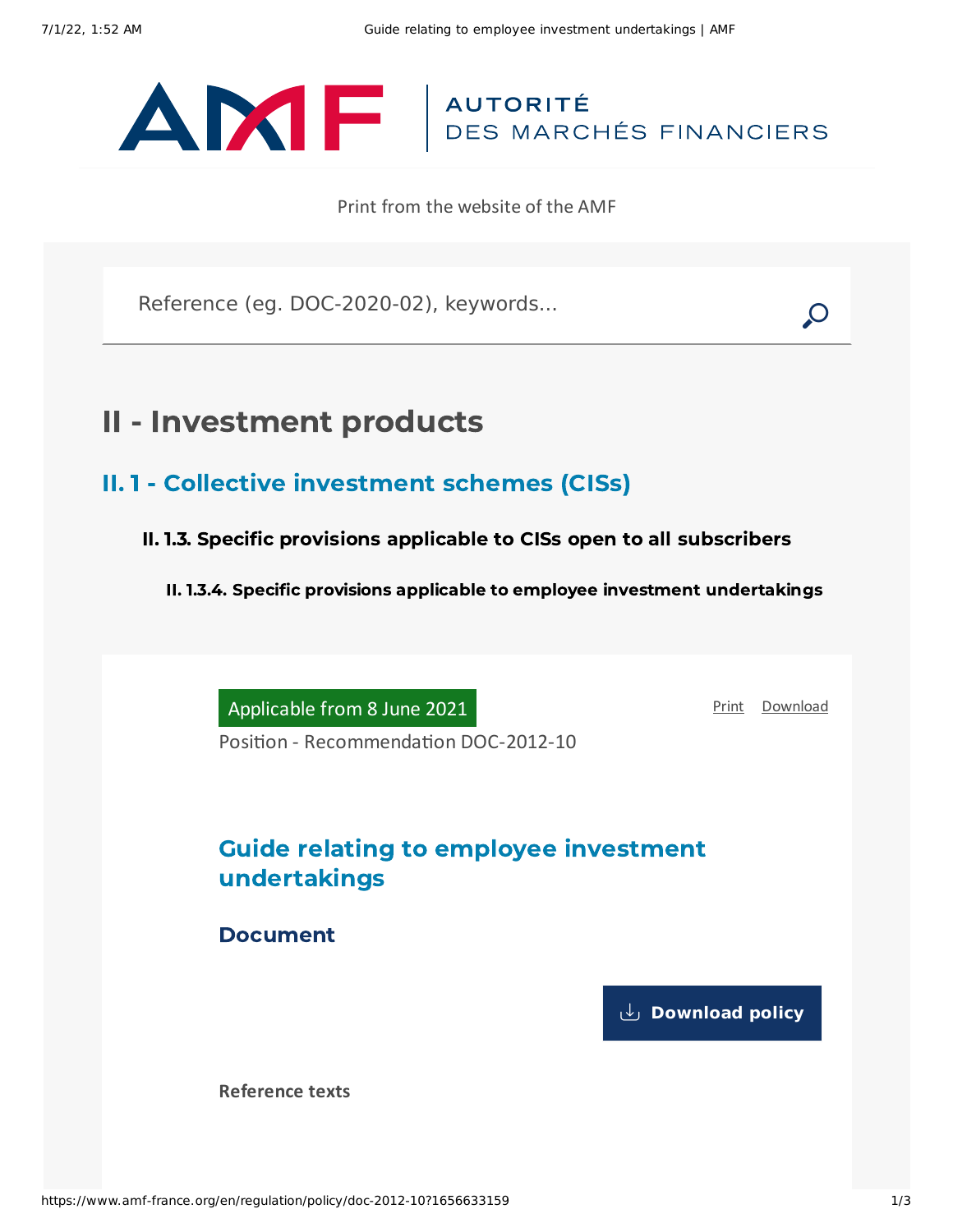# ANTE | AUTORITÉ

Print from the website of the AMF

Reference (eg. DOC-2020-02), keywords...

## II - Investment products

- II. 1 Collective investment schemes (CISs)
	- II. 1.3. Specific provisions applicable to CISs open to all subscribers

II. 1.3.4. Specific provisions applicable to employee investment undertakings

Applicable from 8 June 2021

[Print](javascript:window.print()) [Download](https://www.amf-france.org/sites/default/files/pdf/62962/en/Guide_relating_to_employee_investment_undertakings.pdf?1656633160)

Position - Recommendation DOC-2012-10

### Guide relating to employee investment undertakings

Document

**[Download](https://www.amf-france.org/sites/default/files/private/2021-06/doc-2012-10_va4_guide-fes_0.pdf) policy**

**Reference texts**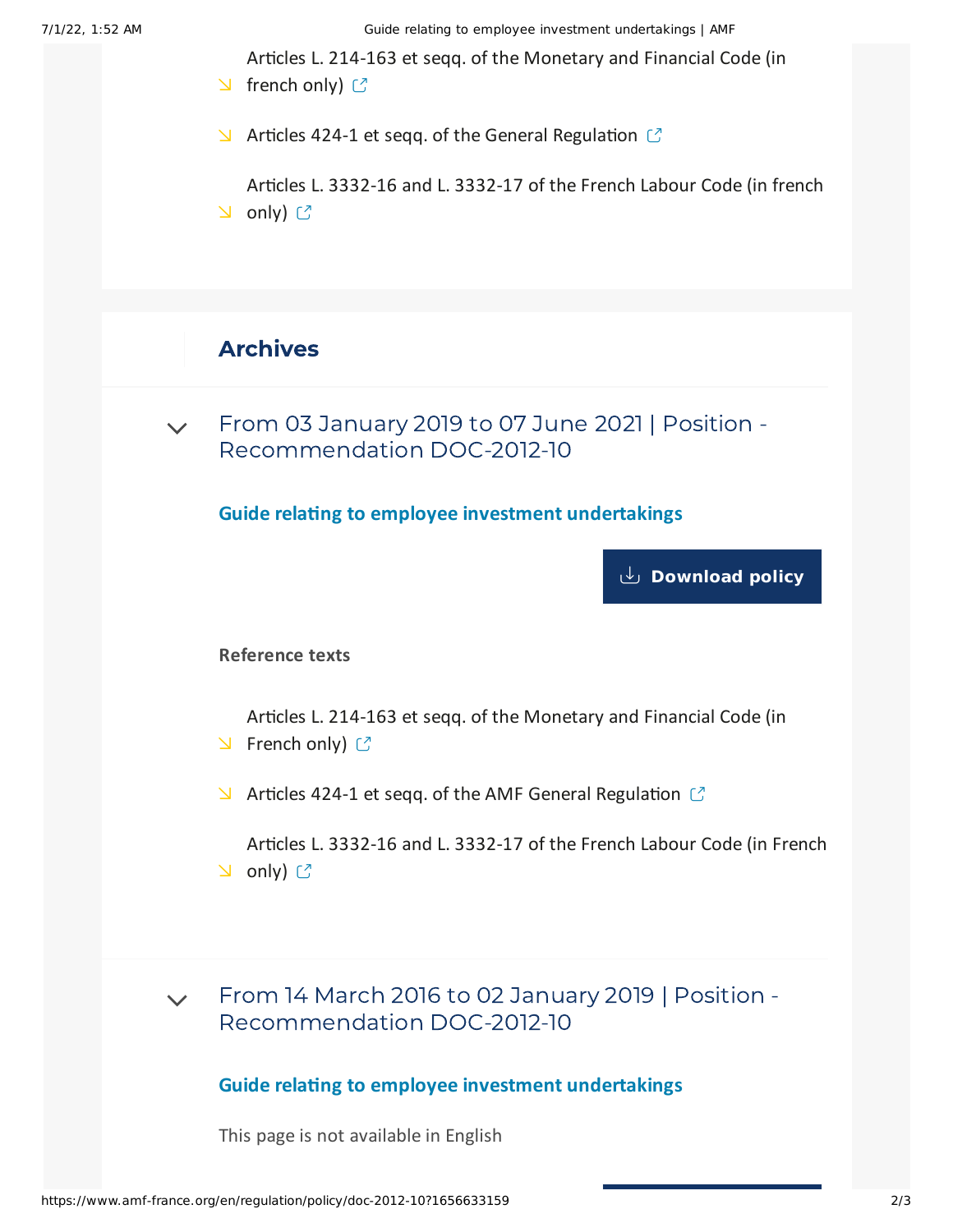7/1/22, 1:52 AM Guide relating to employee investment undertakings | AMF

Articles L. 214-163 et seqq. of the [Monetary](https://www.legifrance.gouv.fr/codes/id/LEGISCTA000027780335/) and Financial Code (in

- $\triangle$  french only)  $\heartsuit$
- $\blacktriangleright$  Articles 424-1 et seqq. of the General [Regulation](https://www.amf-france.org/en/eli/fr/aai/amf/rg/book/4/20210101/notes)  $\mathbb{C}$

Articles L. [3332-16](https://www.legifrance.gouv.fr/codes/id/LEGISCTA000006189696/) and L. 3332-17 of the French Labour Code (in french  $\cup$  only)  $\mathbb{C}$ 

#### Archives

From 03 January 2019 to 07 June 2021 | Position - [Recommendation](#page-1-0) DOC-2012-10  $\vee$ 

<span id="page-1-0"></span>**Guide relating to employee investment undertakings**

**[Download](https://www.amf-france.org/sites/default/files/private/2020-11/20190103-guide-relating-to-employee-investment-undertakings.pdf) policy**

**Reference texts**

Articles L. 214-163 et seqq. of the [Monetary](https://www.legifrance.gouv.fr/affichCode.do;jsessionid=64CBB8EAD02EF967AF5549CB8366EF78.tpdila17v_1?idSectionTA=LEGISCTA000027780335&cidTexte=LEGITEXT000006072026&dateTexte=20160310) and Financial Code (in  $\triangle$  French only)  $\heartsuit$ 

 $\blacktriangleright$  Articles 424-1 et seqq. of the AMF General [Regulation](https://www.amf-france.org/eli/fr/aai/amf/rg/20180423/notes/en.pdf)  $\mathbb{C}$ 

Articles L. 3332-16 and L. [3332-17](https://www.legifrance.gouv.fr/affichCode.do;jsessionid=07DF5B9EC8E870276E680EFC46DC80A3.tpdjo07v_3?idSectionTA=LEGISCTA000006189696&cidTexte=LEGITEXT000006072050&dateTexte=20120403) of the French Labour Code (in French **∆** only) ぴ

From 14 March 2016 to 02 January 2019 | Position - [Recommendation](#page-1-1) DOC-2012-10  $\vee$ 

#### **Guide relating to employee investment undertakings**

<span id="page-1-1"></span>This page is not available in English